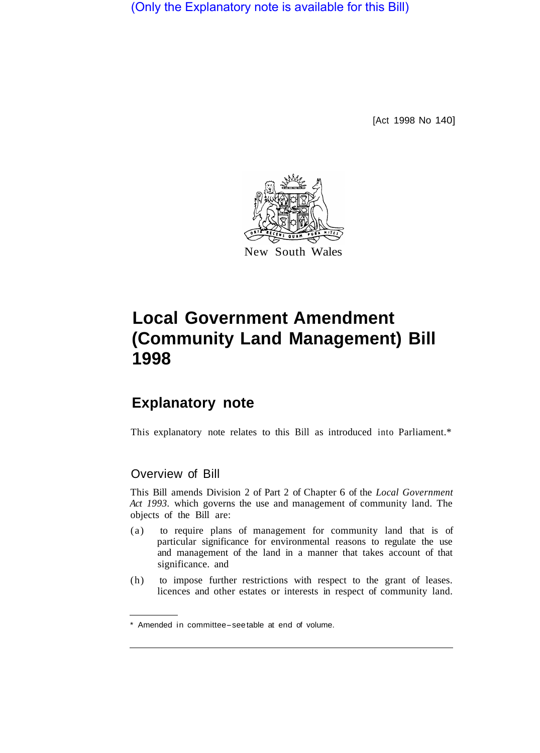(Only the Explanatory note is available for this Bill)

[Act 1998 No 140]



# **Local Government Amendment (Community Land Management) Bill 1998**

## **Explanatory note**

This explanatory note relates to this Bill as introduced into Parliament.\*

#### Overview of Bill

This Bill amends Division 2 of Part 2 of Chapter 6 of the *Local Government Act 1993.* which governs the use and management of community land. The objects of the Bill are:

- (a) to require plans of management for community land that is of particular significance for environmental reasons to regulate the use and management of the land in a manner that takes account of that significance. and
- (h) to impose further restrictions with respect to the grant of leases. licences and other estates or interests in respect of community land.

<sup>\*</sup> Amended in committee-see table at end of volume.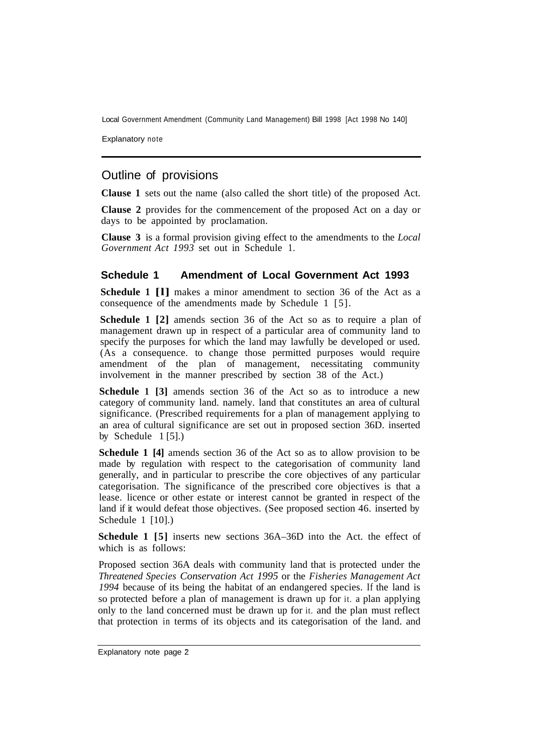Explanatory note

### Outline of provisions

**Clause 1** sets out the name (also called the short title) of the proposed Act.

**Clause 2** provides for the commencement of the proposed Act on a day or days to be appointed by proclamation.

**Clause 3** is a formal provision giving effect to the amendments to the *Local Government Act 1993* set out in Schedule 1.

#### **Schedule 1 Amendment of Local Government Act 1993**

**Schedule 1 [l]** makes a minor amendment to section 36 of the Act as a consequence of the amendments made by Schedule 1 [5].

**Schedule 1 [2]** amends section 36 of the Act so as to require a plan of management drawn up in respect of a particular area of community land to specify the purposes for which the land may lawfully be developed or used. (As a consequence. to change those permitted purposes would require amendment of the plan of management, necessitating community involvement in the manner prescribed by section 38 of the Act.)

**Schedule 1 [3]** amends section 36 of the Act so as to introduce a new category of community land. namely. land that constitutes an area of cultural significance. (Prescribed requirements for a plan of management applying to an area of cultural significance are set out in proposed section 36D. inserted by Schedule  $1[5]$ .)

**Schedule 1 [4]** amends section 36 of the Act so as to allow provision to be made by regulation with respect to the categorisation of community land generally, and in particular to prescribe the core objectives of any particular categorisation. The significance of the prescribed core objectives is that a lease. licence or other estate or interest cannot be granted in respect of the land if it would defeat those objectives. (See proposed section 46. inserted by Schedule 1 [10].)

**Schedule 1 [5]** inserts new sections 36A–36D into the Act. the effect of which is as follows:

Proposed section 36A deals with community land that is protected under the *Threatened Species Conservation Act 1995* or the *Fisheries Management Act 1994* because of its being the habitat of an endangered species. If the land is so protected before a plan of management is drawn up for it. a plan applying only to the land concerned must be drawn up for it. and the plan must reflect that protection in terms of its objects and its categorisation of the land. and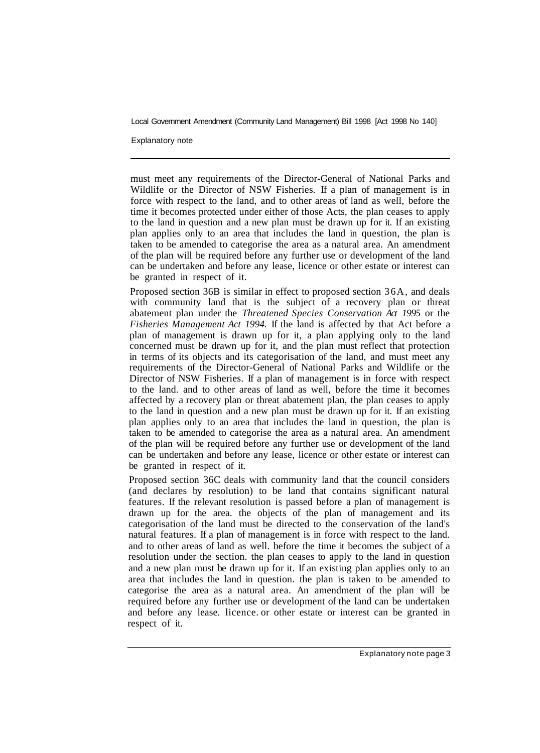#### Explanatory note

must meet any requirements of the Director-General of National Parks and Wildlife or the Director of NSW Fisheries. If a plan of management is in force with respect to the land, and to other areas of land as well, before the time it becomes protected under either of those Acts, the plan ceases to apply to the land in question and a new plan must be drawn up for it. If an existing plan applies only to an area that includes the land in question, the plan is taken to be amended to categorise the area as a natural area. An amendment of the plan will be required before any further use or development of the land can be undertaken and before any lease, licence or other estate or interest can be granted in respect of it.

Proposed section 36B is similar in effect to proposed section 36A, and deals with community land that is the subject of a recovery plan or threat abatement plan under the *Threatened Species Conservation Act 1995* or the *Fisheries Management Act 1994.* If the land is affected by that Act before a plan of management is drawn up for it, a plan applying only to the land concerned must be drawn up for it, and the plan must reflect that protection in terms of its objects and its categorisation of the land, and must meet any requirements of the Director-General of National Parks and Wildlife or the Director of NSW Fisheries. If a plan of management is in force with respect to the land. and to other areas of land as well, before the time it becomes affected by a recovery plan or threat abatement plan, the plan ceases to apply to the land in question and a new plan must be drawn up for it. If an existing plan applies only to an area that includes the land in question, the plan is taken to be amended to categorise the area as a natural area. An amendment of the plan will be required before any further use or development of the land can be undertaken and before any lease, licence or other estate or interest can be granted in respect of it.

Proposed section 36C deals with community land that the council considers (and declares by resolution) to be land that contains significant natural features. If the relevant resolution is passed before a plan of management is drawn up for the area. the objects of the plan of management and its categorisation of the land must be directed to the conservation of the land's natural features. If a plan of management is in force with respect to the land. and to other areas of land as well. before the time it becomes the subject of a resolution under the section. the plan ceases to apply to the land in question and a new plan must be drawn up for it. If an existing plan applies only to an area that includes the land in question. the plan is taken to be amended to categorise the area as a natural area. An amendment of the plan will be required before any further use or development of the land can be undertaken and before any lease. licence. or other estate or interest can be granted in respect of it.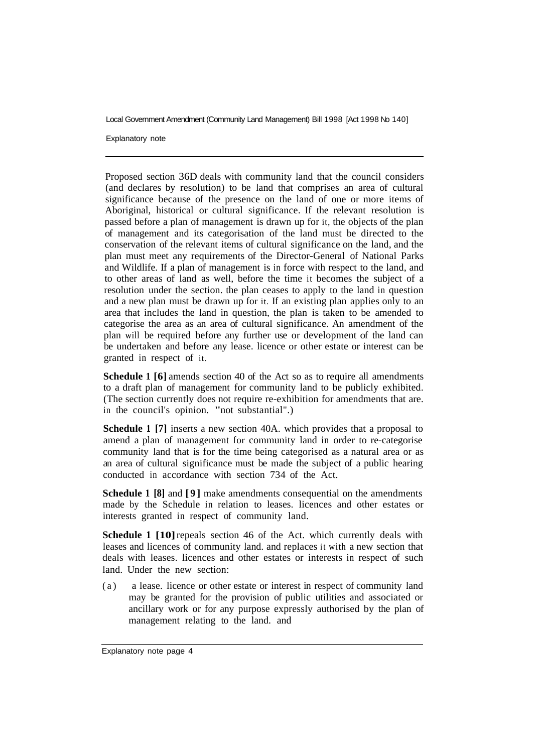Explanatory note

Proposed section 36D deals with community land that the council considers (and declares by resolution) to be land that comprises an area of cultural significance because of the presence on the land of one or more items of Aboriginal, historical or cultural significance. If the relevant resolution is passed before a plan of management is drawn up for it, the objects of the plan of management and its categorisation of the land must be directed to the conservation of the relevant items of cultural significance on the land, and the plan must meet any requirements of the Director-General of National Parks and Wildlife. If a plan of management is in force with respect to the land, and to other areas of land as well, before the time it becomes the subject of a resolution under the section. the plan ceases to apply to the land in question and a new plan must be drawn up for it. If an existing plan applies only to an area that includes the land in question, the plan is taken to be amended to categorise the area as an area of cultural significance. An amendment of the plan will be required before any further use or development of the land can be undertaken and before any lease. licence or other estate or interest can be granted in respect of it.

**Schedule 1 [6]** amends section 40 of the Act so as to require all amendments to a draft plan of management for community land to be publicly exhibited. (The section currently does not require re-exhibition for amendments that are. in the council's opinion. "not substantial".)

**Schedule 1 [7]** inserts a new section 40A. which provides that a proposal to amend a plan of management for community land in order to re-categorise community land that is for the time being categorised as a natural area or as an area of cultural significance must be made the subject of a public hearing conducted in accordance with section 734 of the Act.

**Schedule 1 [8]** and **[9]** make amendments consequential on the amendments made by the Schedule in relation to leases. licences and other estates or interests granted in respect of community land.

**Schedule 1 [10]** repeals section 46 of the Act. which currently deals with leases and licences of community land. and replaces it with a new section that deals with leases. licences and other estates or interests in respect of such land. Under the new section:

(a) a lease. licence or other estate or interest in respect of community land may be granted for the provision of public utilities and associated or ancillary work or for any purpose expressly authorised by the plan of management relating to the land. and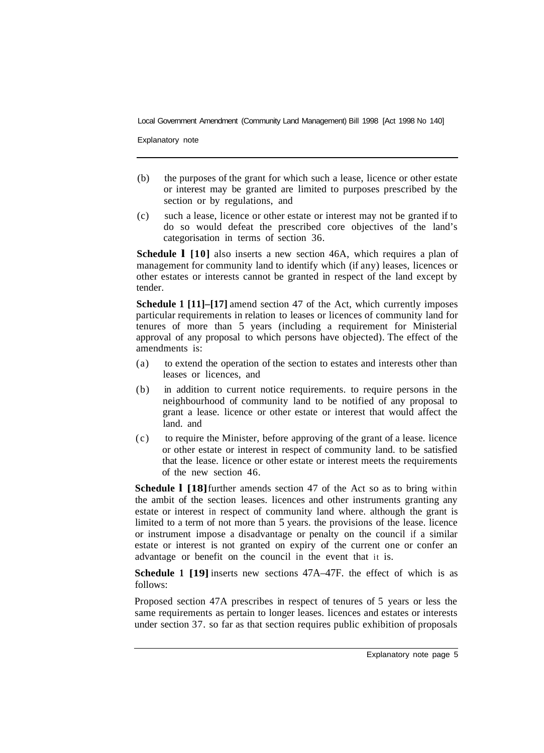Explanatory note

- (b) the purposes of the grant for which such a lease, licence or other estate or interest may be granted are limited to purposes prescribed by the section or by regulations, and
- (c) such a lease, licence or other estate or interest may not be granted if to do so would defeat the prescribed core objectives of the land's categorisation in terms of section 36.

**Schedule I** [10] also inserts a new section 46A, which requires a plan of management for community land to identify which (if any) leases, licences or other estates or interests cannot be granted in respect of the land except by tender.

**Schedule 1 [11]–[17]** amend section 47 of the Act, which currently imposes particular requirements in relation to leases or licences of community land for tenures of more than 5 years (including a requirement for Ministerial approval of any proposal to which persons have objected). The effect of the amendments is:

- (a) to extend the operation of the section to estates and interests other than leases or licences, and
- (b) in addition to current notice requirements. to require persons in the neighbourhood of community land to be notified of any proposal to grant a lease. licence or other estate or interest that would affect the land. and
- (c) to require the Minister, before approving of the grant of a lease. licence or other estate or interest in respect of community land. to be satisfied that the lease. licence or other estate or interest meets the requirements of the new section 46.

**Schedule I [18]** further amends section 47 of the Act so as to bring within the ambit of the section leases. licences and other instruments granting any estate or interest in respect of community land where. although the grant is limited to a term of not more than 5 years. the provisions of the lease. licence or instrument impose a disadvantage or penalty on the council if a similar estate or interest is not granted on expiry of the current one or confer an advantage or benefit on the council in the event that it is.

**Schedule 1 [19]** inserts new sections 47A–47F. the effect of which is as follows:

Proposed section 47A prescribes in respect of tenures of 5 years or less the same requirements as pertain to longer leases. licences and estates or interests under section 37. so far as that section requires public exhibition of proposals